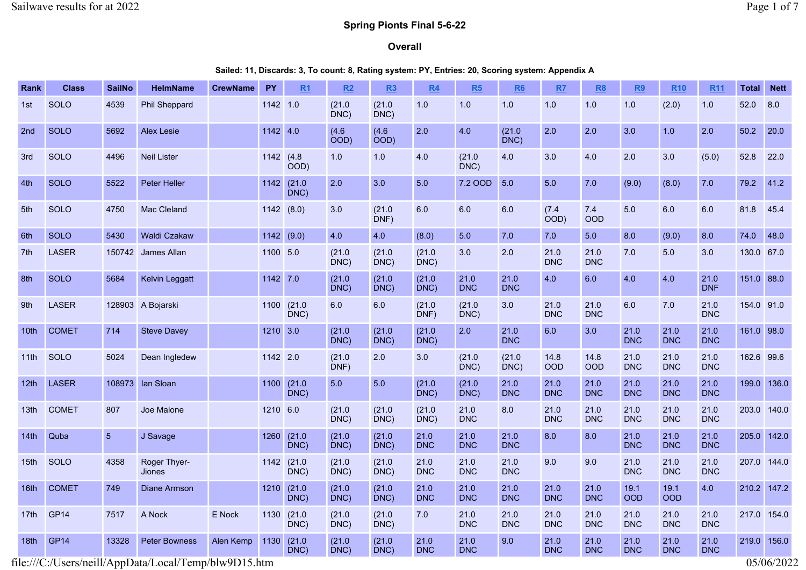# Spring Pionts Final 5-6-22

#### Overall

Sailed: 11, Discards: 3, To count: 8, Rating system: PY, Entries: 20, Scoring system: Appendix A

| Rank             | <b>Class</b>     | <b>SailNo</b>  | <b>HelmName</b>                                       | <b>CrewName</b> | <b>PY</b>  | R1               | R2             | R <sub>3</sub>            | R4                 | R5                 | R6                 | RZ                 | <b>R8</b>          | R9                 | <b>R10</b>         | <b>R11</b>         | <b>Total</b> | <b>Nett</b> |
|------------------|------------------|----------------|-------------------------------------------------------|-----------------|------------|------------------|----------------|---------------------------|--------------------|--------------------|--------------------|--------------------|--------------------|--------------------|--------------------|--------------------|--------------|-------------|
| 1st              | <b>SOLO</b>      | 4539           | <b>Phil Sheppard</b>                                  |                 | 1142 1.0   |                  | (21.0)<br>DNC  | (21.0)<br>DNC)            | 1.0                | 1.0                | 1.0                | 1.0                | 1.0                | 1.0                | (2.0)              | 1.0                | 52.0         | 8.0         |
| 2 <sub>nd</sub>  | <b>SOLO</b>      | 5692           | <b>Alex Lesie</b>                                     |                 | 1142 4.0   |                  | (4.6)<br>OOD)  | (4.6)<br>$\overline{OOD}$ | 2.0                | 4.0                | (21.0)<br>DNC)     | 2.0                | 2.0                | 3.0                | 1.0                | 2.0                | 50.2         | 20.0        |
| 3rd              | <b>SOLO</b>      | 4496           | <b>Neil Lister</b>                                    |                 | 1142 (4.8) | $\overline{OOD}$ | 1.0            | 1.0                       | 4.0                | (21.0)<br>DNC)     | 4.0                | 3.0                | 4.0                | 2.0                | 3.0                | (5.0)              | 52.8         | 22.0        |
| 4th              | <b>SOLO</b>      | 5522           | <b>Peter Heller</b>                                   |                 | 1142       | (21.0)<br>DNC)   | 2.0            | 3.0                       | 5.0                | 7.2 OOD            | 5.0                | 5.0                | 7.0                | (9.0)              | (8.0)              | 7.0                | 79.2         | 41.2        |
| 5th              | <b>SOLO</b>      | 4750           | Mac Cleland                                           |                 | 1142(8.0)  |                  | 3.0            | (21.0)<br>DNF)            | 6.0                | 6.0                | 6.0                | (7.4)<br>OOD)      | 7.4<br>OOD         | 5.0                | 6.0                | 6.0                | 81.8         | 45.4        |
| 6th              | <b>SOLO</b>      | 5430           | <b>Waldi Czakaw</b>                                   |                 | 1142       | (9.0)            | 4.0            | 4.0                       | (8.0)              | 5.0                | 7.0                | 7.0                | 5.0                | 8.0                | (9.0)              | 8.0                | 74.0         | 48.0        |
| 7th              | <b>LASER</b>     | 150742         | James Allan                                           |                 | 1100 5.0   |                  | (21.0)<br>DNC) | (21.0)<br>DNC)            | (21.0)<br>DNC)     | 3.0                | 2.0                | 21.0<br><b>DNC</b> | 21.0<br><b>DNC</b> | 7.0                | 5.0                | 3.0                | 130.0 67.0   |             |
| 8th              | <b>SOLO</b>      | 5684           | <b>Kelvin Leggatt</b>                                 |                 | 1142 7.0   |                  | (21.0)<br>DNC) | (21.0)<br>DNC)            | (21.0)<br>DNC)     | 21.0<br><b>DNC</b> | 21.0<br><b>DNC</b> | 4.0                | 6.0                | 4.0                | 4.0                | 21.0<br><b>DNF</b> | 151.0 88.0   |             |
| 9th              | <b>LASER</b>     |                | 128903 A Bojarski                                     |                 | 1100       | (21.0)<br>DNC)   | 6.0            | 6.0                       | (21.0)<br>DNF)     | (21.0)<br>DNC)     | 3.0                | 21.0<br><b>DNC</b> | 21.0<br><b>DNC</b> | 6.0                | 7.0                | 21.0<br><b>DNC</b> | 154.0 91.0   |             |
| 10 <sub>th</sub> | <b>COMET</b>     | 714            | <b>Steve Davey</b>                                    |                 | 1210 3.0   |                  | (21.0)<br>DNC) | (21.0)<br>DNC)            | (21.0)<br>DNC)     | 2.0                | 21.0<br><b>DNC</b> | 6.0                | 3.0                | 21.0<br><b>DNC</b> | 21.0<br><b>DNC</b> | 21.0<br><b>DNC</b> | 161.0 98.0   |             |
| 11th             | SOLO             | 5024           | Dean Ingledew                                         |                 | 1142 2.0   |                  | (21.0)<br>DNF) | 2.0                       | 3.0                | (21.0)<br>DNC)     | (21.0)<br>DNC)     | 14.8<br><b>OOD</b> | 14.8<br>OOD        | 21.0<br><b>DNC</b> | 21.0<br><b>DNC</b> | 21.0<br><b>DNC</b> | 162.6 99.6   |             |
| 12 <sub>th</sub> | <b>LASER</b>     | 108973         | lan Sloan                                             |                 | 1100       | (21.0)<br>DNC)   | 5.0            | 5.0                       | (21.0)<br>DNC)     | (21.0)<br>DNC)     | 21.0<br><b>DNC</b> | 21.0<br><b>DNC</b> | 21.0<br><b>DNC</b> | 21.0<br><b>DNC</b> | 21.0<br><b>DNC</b> | 21.0<br><b>DNC</b> | 199.0 136.0  |             |
| 13th             | <b>COMET</b>     | 807            | Joe Malone                                            |                 | 1210 6.0   |                  | (21.0)<br>DNC) | (21.0)<br>DNC)            | (21.0)<br>DNC)     | 21.0<br><b>DNC</b> | 8.0                | 21.0<br><b>DNC</b> | 21.0<br><b>DNC</b> | 21.0<br><b>DNC</b> | 21.0<br><b>DNC</b> | 21.0<br><b>DNC</b> | 203.0 140.0  |             |
| 14th             | Quba             | $5\phantom{.}$ | J Savage                                              |                 | 1260       | (21.0)<br>DNC)   | (21.0)<br>DNC) | (21.0)<br>DNC)            | 21.0<br><b>DNC</b> | 21.0<br><b>DNC</b> | 21.0<br><b>DNC</b> | 8.0                | 8.0                | 21.0<br><b>DNC</b> | 21.0<br><b>DNC</b> | 21.0<br><b>DNC</b> | 205.0        | 142.0       |
| 15 <sub>th</sub> | SOLO             | 4358           | Roger Thyer-<br><b>Jiones</b>                         |                 | 1142       | (21.0)<br>DNC)   | (21.0)<br>DNC) | (21.0)<br>DNC)            | 21.0<br><b>DNC</b> | 21.0<br><b>DNC</b> | 21.0<br><b>DNC</b> | 9.0                | 9.0                | 21.0<br><b>DNC</b> | 21.0<br><b>DNC</b> | 21.0<br><b>DNC</b> | 207.0 144.0  |             |
| 16 <sub>th</sub> | <b>COMET</b>     | 749            | <b>Diane Armson</b>                                   |                 | 1210       | (21.0)<br>DNC)   | (21.0)<br>DNC) | (21.0)<br>DNC)            | 21.0<br><b>DNC</b> | 21.0<br><b>DNC</b> | 21.0<br><b>DNC</b> | 21.0<br><b>DNC</b> | 21.0<br><b>DNC</b> | 19.1<br><b>OOD</b> | 19.1<br><b>OOD</b> | 4.0                | 210.2 147.2  |             |
| 17th             | GP <sub>14</sub> | 7517           | A Nock                                                | E Nock          | 1130       | (21.0)<br>DNC)   | (21.0)<br>DNC) | (21.0)<br>DNC)            | 7.0                | 21.0<br><b>DNC</b> | 21.0<br><b>DNC</b> | 21.0<br><b>DNC</b> | 21.0<br><b>DNC</b> | 21.0<br><b>DNC</b> | 21.0<br><b>DNC</b> | 21.0<br><b>DNC</b> | 217.0 154.0  |             |
| 18 <sub>th</sub> | <b>GP14</b>      | 13328          | <b>Peter Bowness</b>                                  | Alen Kemp       | 1130       | (21.0)<br>DNC)   | (21.0)<br>DNC) | (21.0)<br>DNC)            | 21.0<br><b>DNC</b> | 21.0<br><b>DNC</b> | 9.0                | 21.0<br><b>DNC</b> | 21.0<br><b>DNC</b> | 21.0<br><b>DNC</b> | 21.0<br><b>DNC</b> | 21.0<br><b>DNC</b> | 219.0        | 156.0       |
|                  |                  |                | file:///C:/Users/neill/AppData/Local/Temp/blw9D15.htm |                 |            |                  |                |                           |                    |                    |                    |                    |                    |                    |                    |                    |              | 05/06/2022  |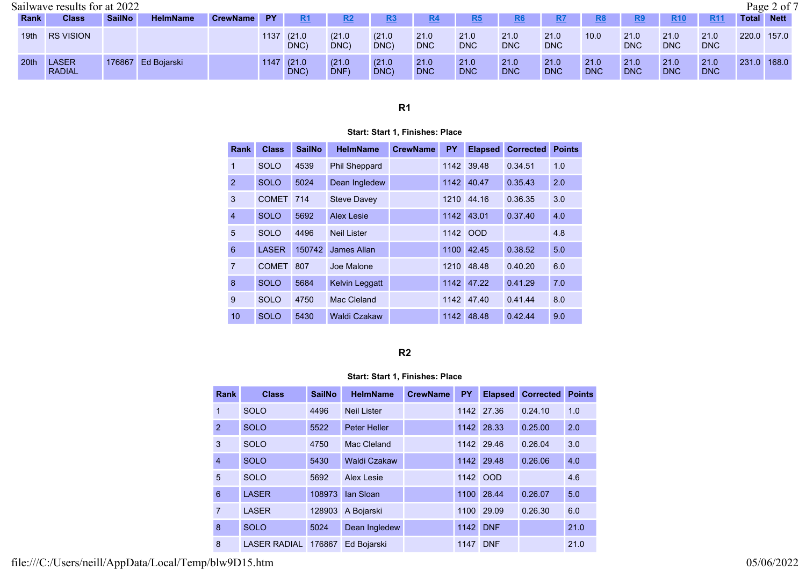|                  | Sailwave results for at 2022  |               |                    |             |      |                    |                |                |                    |                    |                    |                    |                    |                    |                    |                    |              | Page 2 of 7 |
|------------------|-------------------------------|---------------|--------------------|-------------|------|--------------------|----------------|----------------|--------------------|--------------------|--------------------|--------------------|--------------------|--------------------|--------------------|--------------------|--------------|-------------|
| Rank             | <b>Class</b>                  | <b>SailNo</b> | <b>HelmName</b>    | CrewName PY |      | <u>R1</u>          | <u>R2</u>      | <u>R3</u>      | <u>R4</u>          | <u>R5</u>          | <u>R6</u>          | <u>R7</u>          | R8                 | R <sub>9</sub>     | <b>R10</b>         | <b>R11</b>         | <b>Total</b> | <b>Nett</b> |
| 19th             | <b>RS VISION</b>              |               |                    |             |      | 1137 (21.0<br>DNC) | (21.0)<br>DNC  | (21.0)<br>DNC) | 21.0<br><b>DNC</b> | 21.0<br><b>DNC</b> | 21.0<br><b>DNC</b> | 21.0<br><b>DNC</b> | 10.0               | 21.0<br><b>DNC</b> | 21.0<br><b>DNC</b> | 21.0<br><b>DNC</b> | 220.0        | 157.0       |
| 20 <sup>th</sup> | <b>LASER</b><br><b>RADIAL</b> |               | 176867 Ed Bojarski |             | 1147 | (21.0)<br>DNC)     | (21.0)<br>DNF) | (21.0)<br>DNC) | 21.0<br><b>DNC</b> | 21.0<br><b>DNC</b> | 21.0<br><b>DNC</b> | 21.0<br><b>DNC</b> | 21.0<br><b>DNC</b> | 21.0<br><b>DNC</b> | 21.0<br><b>DNC</b> | 21.0<br><b>DNC</b> | 231.0 168.0  |             |

#### Start: Start 1, Finishes: Place

| <b>Rank</b>     | <b>Class</b> | <b>SailNo</b> | <b>HelmName</b>       | <b>CrewName</b> | <b>PY</b> | <b>Elapsed</b> | <b>Corrected</b> | <b>Points</b> |
|-----------------|--------------|---------------|-----------------------|-----------------|-----------|----------------|------------------|---------------|
| $\overline{1}$  | <b>SOLO</b>  | 4539          | <b>Phil Sheppard</b>  |                 |           | 1142 39.48     | 0.34.51          | 1.0           |
| 2               | <b>SOLO</b>  | 5024          | Dean Ingledew         |                 | 1142      | 40.47          | 0.35.43          | 2.0           |
| 3               | <b>COMET</b> | 714           | <b>Steve Davey</b>    |                 | 1210      | 44.16          | 0.36.35          | 3.0           |
| $\overline{4}$  | <b>SOLO</b>  | 5692          | Alex Lesie            |                 | 1142      | 43.01          | 0.37.40          | 4.0           |
| 5               | <b>SOLO</b>  | 4496          | <b>Neil Lister</b>    |                 | 1142      | <b>OOD</b>     |                  | 4.8           |
| $6\phantom{1}6$ | <b>LASER</b> | 150742        | James Allan           |                 | 1100      | 42.45          | 0.38.52          | 5.0           |
| $\overline{7}$  | <b>COMET</b> | 807           | Joe Malone            |                 | 1210      | 48.48          | 0.40.20          | 6.0           |
| 8               | <b>SOLO</b>  | 5684          | <b>Kelvin Leggatt</b> |                 | 1142      | 47.22          | 0.41.29          | 7.0           |
| 9               | <b>SOLO</b>  | 4750          | Mac Cleland           |                 | 1142      | 47.40          | 0.41.44          | 8.0           |
| 10              | <b>SOLO</b>  | 5430          | <b>Waldi Czakaw</b>   |                 | 1142      | 48.48          | 0.42.44          | 9.0           |

### R2

## Start: Start 1, Finishes: Place

| Rank           | <b>Class</b>        | <b>SailNo</b> | <b>HelmName</b>     | <b>CrewName</b> | <b>PY</b> | <b>Elapsed</b> | <b>Corrected</b> | <b>Points</b> |
|----------------|---------------------|---------------|---------------------|-----------------|-----------|----------------|------------------|---------------|
| 1              | <b>SOLO</b>         | 4496          | <b>Neil Lister</b>  |                 |           | 1142 27.36     | 0.24.10          | 1.0           |
| 2              | <b>SOLO</b>         | 5522          | <b>Peter Heller</b> |                 | 1142      | 28.33          | 0.25.00          | 2.0           |
| 3              | <b>SOLO</b>         | 4750          | Mac Cleland         |                 |           | 1142 29.46     | 0.26.04          | 3.0           |
| $\overline{4}$ | <b>SOLO</b>         | 5430          | <b>Waldi Czakaw</b> |                 | 1142      | 29.48          | 0.26.06          | 4.0           |
| 5              | <b>SOLO</b>         | 5692          | Alex Lesie          |                 |           | 1142 OOD       |                  | 4.6           |
| 6              | <b>LASER</b>        | 108973        | <b>lan Sloan</b>    |                 |           | 1100 28.44     | 0.26.07          | 5.0           |
| 7              | <b>LASER</b>        | 128903        | A Bojarski          |                 | 1100      | 29.09          | 0.26.30          | 6.0           |
| 8              | <b>SOLO</b>         | 5024          | Dean Ingledew       |                 | 1142      | <b>DNF</b>     |                  | 21.0          |
| 8              | <b>LASER RADIAL</b> | 176867        | Ed Bojarski         |                 | 1147      | <b>DNF</b>     |                  | 21.0          |

file:///C:/Users/neill/AppData/Local/Temp/blw9D15.htm 05/06/2022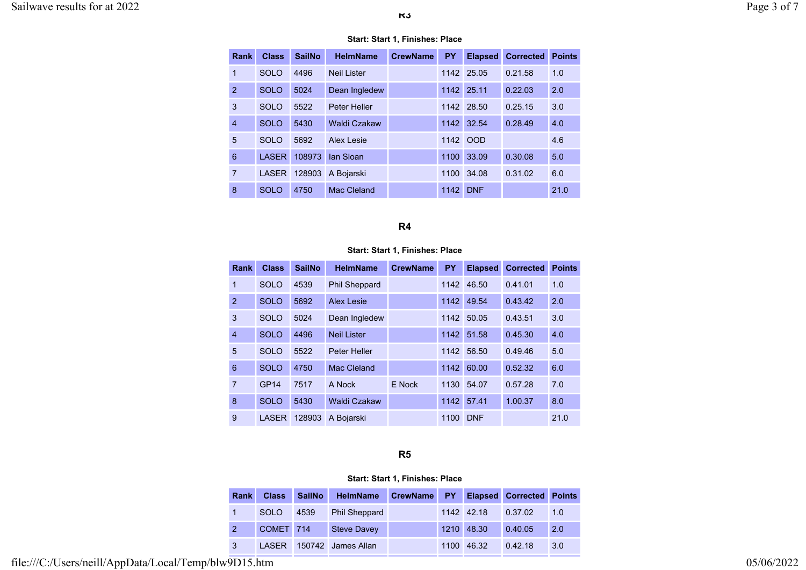| Rank           | <b>Class</b> | <b>SailNo</b> | <b>HelmName</b>     | <b>CrewName</b> | <b>PY</b> | <b>Elapsed</b> | <b>Corrected</b> | <b>Points</b> |
|----------------|--------------|---------------|---------------------|-----------------|-----------|----------------|------------------|---------------|
| $\mathbf 1$    | <b>SOLO</b>  | 4496          | <b>Neil Lister</b>  |                 |           | 1142 25.05     | 0.21.58          | 1.0           |
| 2              | <b>SOLO</b>  | 5024          | Dean Ingledew       |                 |           | 1142 25.11     | 0.22.03          | 2.0           |
| 3              | <b>SOLO</b>  | 5522          | <b>Peter Heller</b> |                 | 1142      | 28.50          | 0.25.15          | 3.0           |
| $\overline{4}$ | <b>SOLO</b>  | 5430          | <b>Waldi Czakaw</b> |                 | 1142      | 32.54          | 0.28.49          | 4.0           |
| 5              | <b>SOLO</b>  | 5692          | <b>Alex Lesie</b>   |                 | 1142      | <b>OOD</b>     |                  | 4.6           |
| 6              | <b>LASER</b> | 108973        | lan Sloan           |                 | 1100      | 33.09          | 0.30.08          | 5.0           |
| $\overline{7}$ | <b>LASER</b> | 128903        | A Bojarski          |                 | 1100      | 34.08          | 0.31.02          | 6.0           |
| 8              | <b>SOLO</b>  | 4750          | Mac Cleland         |                 | 1142      | <b>DNF</b>     |                  | 21.0          |

#### Start: Start 1, Finishes: Place

# R4

#### Start: Start 1, Finishes: Place

| <b>Rank</b>     | <b>Class</b>     | <b>SailNo</b> | <b>HelmName</b>      | <b>CrewName</b> | PY   | <b>Elapsed</b> | <b>Corrected</b> | <b>Points</b> |
|-----------------|------------------|---------------|----------------------|-----------------|------|----------------|------------------|---------------|
| 1               | <b>SOLO</b>      | 4539          | <b>Phil Sheppard</b> |                 | 1142 | 46.50          | 0.41.01          | 1.0           |
| $\overline{2}$  | <b>SOLO</b>      | 5692          | <b>Alex Lesie</b>    |                 | 1142 | 49.54          | 0.43.42          | 2.0           |
| 3               | <b>SOLO</b>      | 5024          | Dean Ingledew        |                 | 1142 | 50.05          | 0.43.51          | 3.0           |
| $\overline{4}$  | <b>SOLO</b>      | 4496          | <b>Neil Lister</b>   |                 | 1142 | 51.58          | 0.45.30          | 4.0           |
| 5               | <b>SOLO</b>      | 5522          | <b>Peter Heller</b>  |                 | 1142 | 56.50          | 0.49.46          | 5.0           |
| $6\phantom{1}6$ | <b>SOLO</b>      | 4750          | Mac Cleland          |                 | 1142 | 60.00          | 0.52.32          | 6.0           |
| 7               | GP <sub>14</sub> | 7517          | A Nock               | E Nock          | 1130 | 54.07          | 0.57.28          | 7.0           |
| 8               | <b>SOLO</b>      | 5430          | <b>Waldi Czakaw</b>  |                 | 1142 | 57.41          | 1.00.37          | 8.0           |
| 9               | <b>LASER</b>     | 128903        | A Bojarski           |                 | 1100 | <b>DNF</b>     |                  | 21.0          |

# R5

### Start: Start 1, Finishes: Place

|   | Rank | <b>Class</b> | <b>SailNo</b> | <b>HelmName</b>      | <b>CrewName</b> | <b>PY</b> |            | <b>Elapsed Corrected Points</b> |     |
|---|------|--------------|---------------|----------------------|-----------------|-----------|------------|---------------------------------|-----|
|   |      | <b>SOLO</b>  | 4539          | <b>Phil Sheppard</b> |                 |           | 1142 42.18 | 0.37.02                         | 1.0 |
|   |      | COMET 714    |               | <b>Steve Davey</b>   |                 |           | 1210 48.30 | 0.40.05                         | 2.0 |
| 3 |      | <b>LASER</b> |               | 150742 James Allan   |                 | 1100      | 46.32      | 0.42.18                         | 3.0 |

file:///C:/Users/neill/AppData/Local/Temp/blw9D15.htm 05/06/2022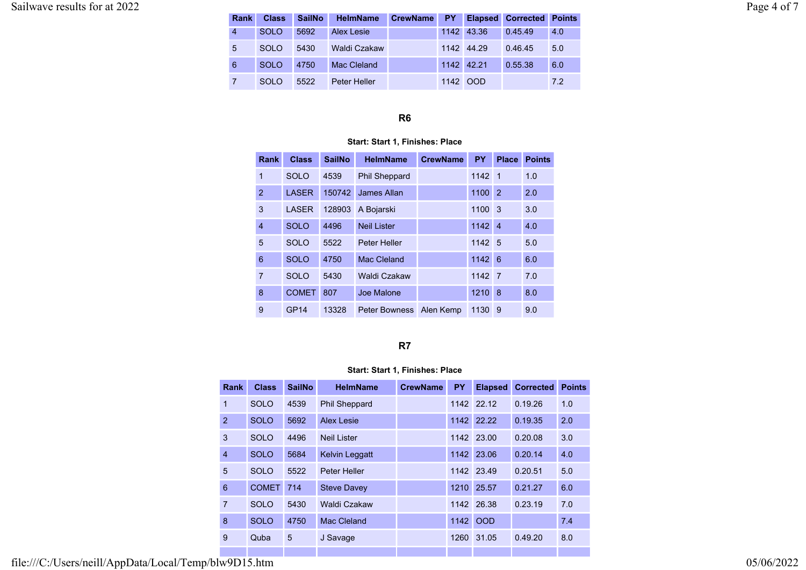| <b>Rank</b> | <b>Class</b> | <b>SailNo</b> | <b>HelmName</b> | <b>CrewName</b> | PY - |            | <b>Elapsed Corrected Points</b> |     |
|-------------|--------------|---------------|-----------------|-----------------|------|------------|---------------------------------|-----|
| 4           | SOLO         | 5692          | Alex Lesie      |                 |      | 1142 43.36 | 0.45.49                         | 4.0 |
| 5           | <b>SOLO</b>  | 5430          | Waldi Czakaw    |                 |      | 1142 44.29 | 0.46.45                         | 5.0 |
| 6           | <b>SOLO</b>  | 4750          | Mac Cleland     |                 |      | 1142 42.21 | 0.55.38                         | 6.0 |
|             | <b>SOLO</b>  | 5522          | Peter Heller    |                 |      | 1142 OOD   |                                 | 7.2 |

#### Start: Start 1, Finishes: Place

| Rank           | <b>Class</b> | <b>SailNo</b> | <b>HelmName</b>         | <b>CrewName</b> | <b>PY</b> | Place          | <b>Points</b> |
|----------------|--------------|---------------|-------------------------|-----------------|-----------|----------------|---------------|
| $\mathbf 1$    | <b>SOLO</b>  | 4539          | <b>Phil Sheppard</b>    |                 | 1142      | $\blacksquare$ | 1.0           |
| $\overline{2}$ | <b>LASER</b> | 150742        | James Allan             |                 | 1100      | 2              | 2.0           |
| 3              | <b>LASER</b> | 128903        | A Bojarski              |                 | 1100      | 3              | 3.0           |
| $\overline{4}$ | <b>SOLO</b>  | 4496          | Neil Lister             |                 | 1142      | $\overline{4}$ | 4.0           |
| 5              | <b>SOLO</b>  | 5522          | <b>Peter Heller</b>     |                 | 1142 5    |                | 5.0           |
| 6              | <b>SOLO</b>  | 4750          | Mac Cleland             |                 | 1142      | 6              | 6.0           |
| $\overline{7}$ | <b>SOLO</b>  | 5430          | Waldi Czakaw            |                 | 1142      | $\overline{7}$ | 7.0           |
| 8              | <b>COMET</b> | 807           | Joe Malone              |                 | 1210      | 8              | 8.0           |
| 9              | GP14         | 13328         | Peter Bowness Alen Kemp |                 | 1130      | 9              | 9.0           |

# R7

### Start: Start 1, Finishes: Place

| <b>Rank</b>    | <b>Class</b> | <b>SailNo</b> | <b>HelmName</b>       | <b>CrewName</b> | <b>PY</b> | <b>Elapsed</b> | <b>Corrected</b> | <b>Points</b> |
|----------------|--------------|---------------|-----------------------|-----------------|-----------|----------------|------------------|---------------|
| $\mathbf{1}$   | <b>SOLO</b>  | 4539          | <b>Phil Sheppard</b>  |                 |           | 1142 22.12     | 0.19.26          | 1.0           |
| 2              | <b>SOLO</b>  | 5692          | Alex Lesie            |                 |           | 1142 22.22     | 0.19.35          | 2.0           |
| 3              | <b>SOLO</b>  | 4496          | Neil Lister           |                 |           | 1142 23.00     | 0.20.08          | 3.0           |
| $\overline{4}$ | <b>SOLO</b>  | 5684          | <b>Kelvin Leggatt</b> |                 |           | 1142 23.06     | 0.20.14          | 4.0           |
| 5              | <b>SOLO</b>  | 5522          | Peter Heller          |                 |           | 1142 23.49     | 0.20.51          | 5.0           |
| 6              | <b>COMET</b> | 714           | <b>Steve Davey</b>    |                 |           | 1210 25.57     | 0.21.27          | 6.0           |
| $\overline{7}$ | <b>SOLO</b>  | 5430          | Waldi Czakaw          |                 |           | 1142 26.38     | 0.23.19          | 7.0           |
| 8              | <b>SOLO</b>  | 4750          | Mac Cleland           |                 | 1142      | <b>OOD</b>     |                  | 7.4           |
| 9              | Quba         | 5             | J Savage              |                 | 1260      | 31.05          | 0.49.20          | 8.0           |
|                |              |               |                       |                 |           |                |                  |               |

file:///C:/Users/neill/AppData/Local/Temp/blw9D15.htm 05/06/2022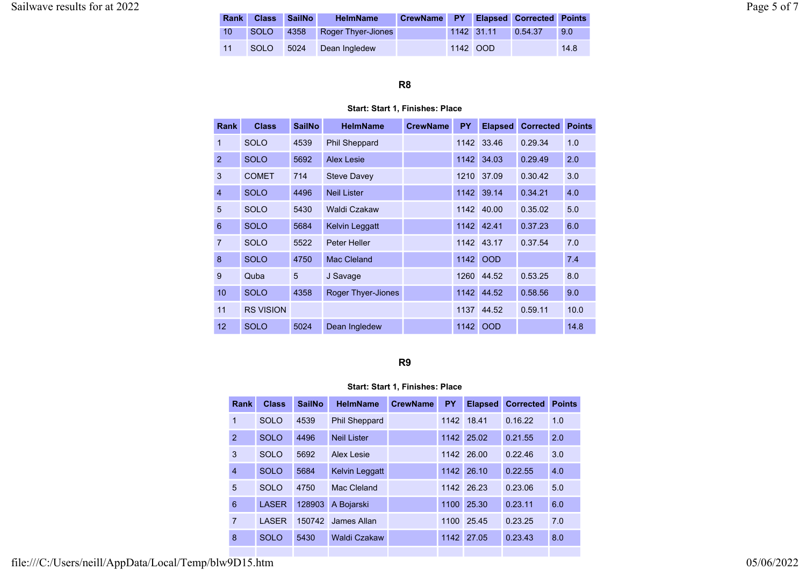| <b>Rank</b> |      | Class SailNo | <b>HelmName</b>              | CrewName PY Elapsed Corrected Points |            |         |      |
|-------------|------|--------------|------------------------------|--------------------------------------|------------|---------|------|
| 10          |      |              | SOLO 4358 Roger Thyer-Jiones |                                      | 1142 31.11 | 0.54.37 | 9.0  |
| 11          | SOLO | 5024         | Dean Ingledew                |                                      | 1142 OOD   |         | 14.8 |

#### Start: Start 1, Finishes: Place

| <b>Rank</b>    | <b>Class</b>     | <b>SailNo</b> | <b>HelmName</b>           | <b>CrewName</b> | <b>PY</b> | <b>Elapsed</b> | <b>Corrected</b> | <b>Points</b> |
|----------------|------------------|---------------|---------------------------|-----------------|-----------|----------------|------------------|---------------|
| $\overline{1}$ | <b>SOLO</b>      | 4539          | <b>Phil Sheppard</b>      |                 | 1142      | 33.46          | 0.29.34          | 1.0           |
| $\overline{2}$ | <b>SOLO</b>      | 5692          | <b>Alex Lesie</b>         |                 | 1142      | 34.03          | 0.29.49          | 2.0           |
| 3              | <b>COMET</b>     | 714           | <b>Steve Davey</b>        |                 | 1210      | 37.09          | 0.30.42          | 3.0           |
| $\overline{4}$ | <b>SOLO</b>      | 4496          | <b>Neil Lister</b>        |                 | 1142      | 39.14          | 0.34.21          | 4.0           |
| 5              | <b>SOLO</b>      | 5430          | Waldi Czakaw              |                 |           | 1142 40.00     | 0.35.02          | 5.0           |
| 6              | <b>SOLO</b>      | 5684          | <b>Kelvin Leggatt</b>     |                 | 1142      | 42.41          | 0.37.23          | 6.0           |
| $\overline{7}$ | <b>SOLO</b>      | 5522          | Peter Heller              |                 |           | 1142 43.17     | 0.37.54          | 7.0           |
| 8              | <b>SOLO</b>      | 4750          | Mac Cleland               |                 | 1142      | <b>OOD</b>     |                  | 7.4           |
| 9              | Quba             | 5             | J Savage                  |                 | 1260      | 44.52          | 0.53.25          | 8.0           |
| 10             | <b>SOLO</b>      | 4358          | <b>Roger Thyer-Jiones</b> |                 | 1142      | 44.52          | 0.58.56          | 9.0           |
| 11             | <b>RS VISION</b> |               |                           |                 | 1137      | 44.52          | 0.59.11          | 10.0          |
| 12             | <b>SOLO</b>      | 5024          | Dean Ingledew             |                 | 1142      | <b>OOD</b>     |                  | 14.8          |

R9

### Start: Start 1, Finishes: Place

| Rank           | <b>Class</b> | <b>SailNo</b> | <b>HelmName</b>      | <b>CrewName</b> | <b>PY</b> | <b>Elapsed</b> | <b>Corrected</b> | <b>Points</b> |
|----------------|--------------|---------------|----------------------|-----------------|-----------|----------------|------------------|---------------|
| 1              | <b>SOLO</b>  | 4539          | <b>Phil Sheppard</b> |                 | 1142      | 18.41          | 0.16.22          | 1.0           |
| $\overline{2}$ | SOLO.        | 4496          | Neil I ister         |                 | 1142      | 25.02          | 0.21.55          | 2.0           |
| 3              | <b>SOLO</b>  | 5692          | Alex Lesie           |                 |           | 1142 26.00     | 0.22.46          | 3.0           |
| $\overline{4}$ | <b>SOLO</b>  | 5684          | Kelvin Leggatt       |                 | 1142      | 26.10          | 0.22.55          | 4.0           |
| 5              | <b>SOLO</b>  | 4750          | Mac Cleland          |                 | 1142      | 26.23          | 0.23.06          | 5.0           |
| 6              | <b>LASER</b> | 128903        | A Bojarski           |                 | 1100      | 25.30          | 0.23.11          | 6.0           |
| $\overline{7}$ | <b>LASER</b> | 150742        | James Allan          |                 | 1100      | 25.45          | 0.23.25          | 7.0           |
| 8              | <b>SOLO</b>  | 5430          | <b>Waldi Czakaw</b>  |                 |           | 1142 27.05     | 0.23.43          | 8.0           |
|                |              |               |                      |                 |           |                |                  |               |